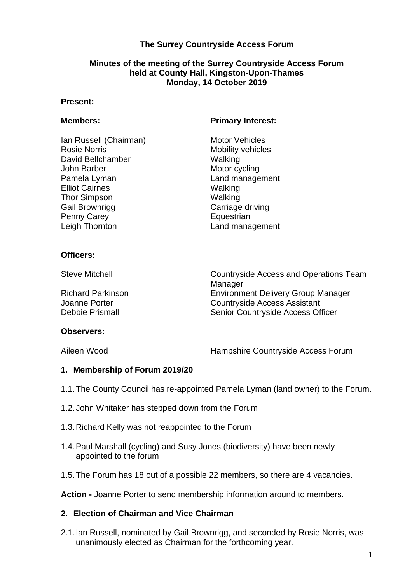# **The Surrey Countryside Access Forum**

# **Monday, 14 October 2019 Minutes of the meeting of the Surrey Countryside Access Forum held at County Hall, Kingston-Upon-Thames**

#### **Present:**

Ian Russell (Chairman) Motor Vehicles<br>
Rosie Norris Mobility vehicle David Bellchamber Walking John Barber Motor cycling Pamela Lyman Land management Elliot Cairnes Walking Thor Simpson Walking Gail Brownrigg **Carriage driving** Penny Carey **Equestrian** Leigh Thornton **Land management** 

#### **Members:** Primary Interest:

Mobility vehicles

## **Officers:**

Steve Mitchell Countryside Access and Operations Team Manager Richard Parkinson Environment Delivery Group Manager Joanne Porter **Countryside Access Assistant** Debbie Prismall **Senior Countryside Access Officer** 

#### **Observers:**

Aileen Wood **Hampshire Countryside Access Forum** 

#### **1. Membership of Forum 2019/20**

- 1.1.The County Council has re-appointed Pamela Lyman (land owner) to the Forum.
- 1.2.John Whitaker has stepped down from the Forum
- 1.3.Richard Kelly was not reappointed to the Forum
- 1.4.Paul Marshall (cycling) and Susy Jones (biodiversity) have been newly appointed to the forum
- 1.5.The Forum has 18 out of a possible 22 members, so there are 4 vacancies.

**Action -** Joanne Porter to send membership information around to members.

#### **2. Election of Chairman and Vice Chairman**

2.1.Ian Russell, nominated by Gail Brownrigg, and seconded by Rosie Norris, was unanimously elected as Chairman for the forthcoming year.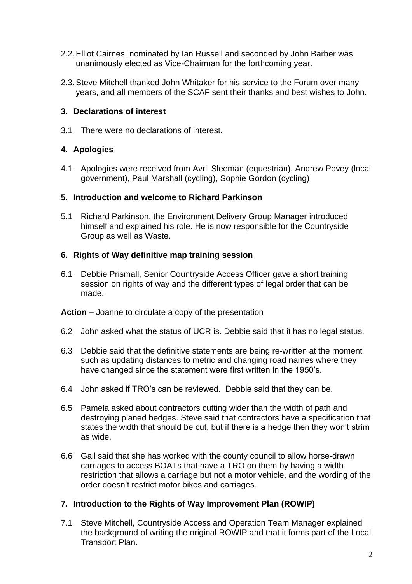- 2.2.Elliot Cairnes, nominated by Ian Russell and seconded by John Barber was unanimously elected as Vice-Chairman for the forthcoming year.
- 2.3.Steve Mitchell thanked John Whitaker for his service to the Forum over many years, and all members of the SCAF sent their thanks and best wishes to John.

# **3. Declarations of interest**

3.1 There were no declarations of interest.

# **4. Apologies**

4.1 Apologies were received from Avril Sleeman (equestrian), Andrew Povey (local government), Paul Marshall (cycling), Sophie Gordon (cycling)

# **5. Introduction and welcome to Richard Parkinson**

5.1 Richard Parkinson, the Environment Delivery Group Manager introduced himself and explained his role. He is now responsible for the Countryside Group as well as Waste.

# **6. Rights of Way definitive map training session**

6.1 Debbie Prismall, Senior Countryside Access Officer gave a short training session on rights of way and the different types of legal order that can be made.

**Action –** Joanne to circulate a copy of the presentation

- 6.2 John asked what the status of UCR is. Debbie said that it has no legal status.
- 6.3 Debbie said that the definitive statements are being re-written at the moment such as updating distances to metric and changing road names where they have changed since the statement were first written in the 1950's.
- 6.4 John asked if TRO's can be reviewed. Debbie said that they can be.
- 6.5 Pamela asked about contractors cutting wider than the width of path and destroying planed hedges. Steve said that contractors have a specification that states the width that should be cut, but if there is a hedge then they won't strim as wide.
- 6.6 Gail said that she has worked with the county council to allow horse-drawn carriages to access BOATs that have a TRO on them by having a width restriction that allows a carriage but not a motor vehicle, and the wording of the order doesn't restrict motor bikes and carriages.

# **7. Introduction to the Rights of Way Improvement Plan (ROWIP)**

7.1 Steve Mitchell, Countryside Access and Operation Team Manager explained the background of writing the original ROWIP and that it forms part of the Local Transport Plan.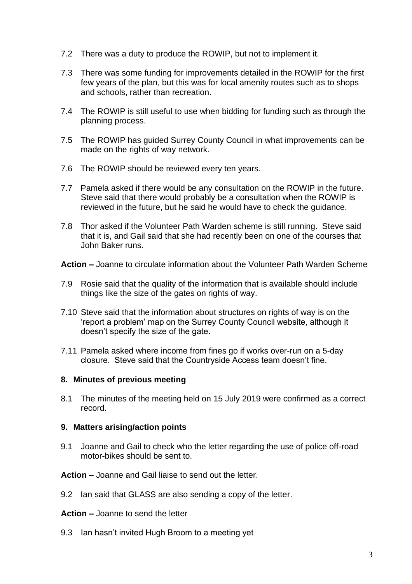- 7.2 There was a duty to produce the ROWIP, but not to implement it.
- 7.3 There was some funding for improvements detailed in the ROWIP for the first few years of the plan, but this was for local amenity routes such as to shops and schools, rather than recreation.
- 7.4 The ROWIP is still useful to use when bidding for funding such as through the planning process.
- 7.5 The ROWIP has guided Surrey County Council in what improvements can be made on the rights of way network.
- 7.6 The ROWIP should be reviewed every ten years.
- 7.7 Pamela asked if there would be any consultation on the ROWIP in the future. Steve said that there would probably be a consultation when the ROWIP is reviewed in the future, but he said he would have to check the guidance.
- that it is, and Gail said that she had recently been on one of the courses that 7.8 Thor asked if the Volunteer Path Warden scheme is still running. Steve said John Baker runs.

**Action –** Joanne to circulate information about the Volunteer Path Warden Scheme

- 7.9 Rosie said that the quality of the information that is available should include things like the size of the gates on rights of way.
- 7.10 Steve said that the information about structures on rights of way is on the 'report a problem' map on the Surrey County Council website, although it doesn't specify the size of the gate.
- 7.11 Pamela asked where income from fines go if works over-run on a 5-day closure. Steve said that the Countryside Access team doesn't fine.

## **8. Minutes of previous meeting**

 8.1 The minutes of the meeting held on 15 July 2019 were confirmed as a correct record.

#### **9. Matters arising/action points**

9.1 Joanne and Gail to check who the letter regarding the use of police off-road motor-bikes should be sent to.

**Action –** Joanne and Gail liaise to send out the letter.

- 9.2 Ian said that GLASS are also sending a copy of the letter.
- **Action –** Joanne to send the letter
- 9.3 Ian hasn't invited Hugh Broom to a meeting yet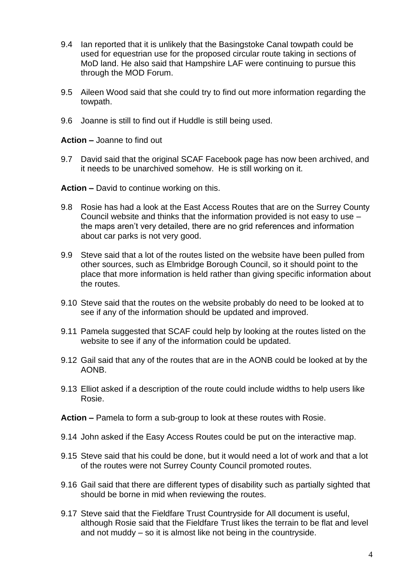- 9.4 Ian reported that it is unlikely that the Basingstoke Canal towpath could be used for equestrian use for the proposed circular route taking in sections of MoD land. He also said that Hampshire LAF were continuing to pursue this through the MOD Forum.
- 9.5 Aileen Wood said that she could try to find out more information regarding the towpath.
- 9.6 Joanne is still to find out if Huddle is still being used.

**Action –** Joanne to find out

9.7 David said that the original SCAF Facebook page has now been archived, and it needs to be unarchived somehow. He is still working on it.

**Action –** David to continue working on this.

- 9.8 Rosie has had a look at the East Access Routes that are on the Surrey County Council website and thinks that the information provided is not easy to use – the maps aren't very detailed, there are no grid references and information about car parks is not very good.
- 9.9 Steve said that a lot of the routes listed on the website have been pulled from other sources, such as Elmbridge Borough Council, so it should point to the place that more information is held rather than giving specific information about the routes.
- 9.10 Steve said that the routes on the website probably do need to be looked at to see if any of the information should be updated and improved.
- 9.11 Pamela suggested that SCAF could help by looking at the routes listed on the website to see if any of the information could be updated.
- 9.12 Gail said that any of the routes that are in the AONB could be looked at by the AONB.
- 9.13 Elliot asked if a description of the route could include widths to help users like Rosie.
- **Action –** Pamela to form a sub-group to look at these routes with Rosie.
- 9.14 John asked if the Easy Access Routes could be put on the interactive map.
- 9.15 Steve said that his could be done, but it would need a lot of work and that a lot of the routes were not Surrey County Council promoted routes.
- 9.16 Gail said that there are different types of disability such as partially sighted that should be borne in mid when reviewing the routes.
- although Rosie said that the Fieldfare Trust likes the terrain to be flat and level and not muddy – so it is almost like not being in the countryside. 9.17 Steve said that the Fieldfare Trust Countryside for All document is useful,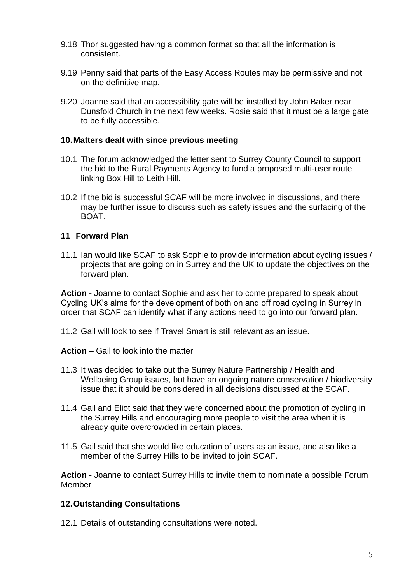- 9.18 Thor suggested having a common format so that all the information is consistent.
- 9.19 Penny said that parts of the Easy Access Routes may be permissive and not on the definitive map.
- 9.20 Joanne said that an accessibility gate will be installed by John Baker near Dunsfold Church in the next few weeks. Rosie said that it must be a large gate to be fully accessible.

## **10.Matters dealt with since previous meeting**

- 10.1 The forum acknowledged the letter sent to Surrey County Council to support the bid to the Rural Payments Agency to fund a proposed multi-user route linking Box Hill to Leith Hill.
- 10.2 If the bid is successful SCAF will be more involved in discussions, and there may be further issue to discuss such as safety issues and the surfacing of the BOAT.

# **11 Forward Plan**

11.1 Ian would like SCAF to ask Sophie to provide information about cycling issues / projects that are going on in Surrey and the UK to update the objectives on the forward plan.

**Action -** Joanne to contact Sophie and ask her to come prepared to speak about Cycling UK's aims for the development of both on and off road cycling in Surrey in order that SCAF can identify what if any actions need to go into our forward plan.

11.2 Gail will look to see if Travel Smart is still relevant as an issue.

**Action –** Gail to look into the matter

- 11.3 It was decided to take out the Surrey Nature Partnership / Health and Wellbeing Group issues, but have an ongoing nature conservation / biodiversity issue that it should be considered in all decisions discussed at the SCAF.
- 11.4 Gail and Eliot said that they were concerned about the promotion of cycling in the Surrey Hills and encouraging more people to visit the area when it is already quite overcrowded in certain places.
- 11.5 Gail said that she would like education of users as an issue, and also like a member of the Surrey Hills to be invited to join SCAF.

 **Action -** Joanne to contact Surrey Hills to invite them to nominate a possible Forum Member

## **12.Outstanding Consultations**

12.1 Details of outstanding consultations were noted.